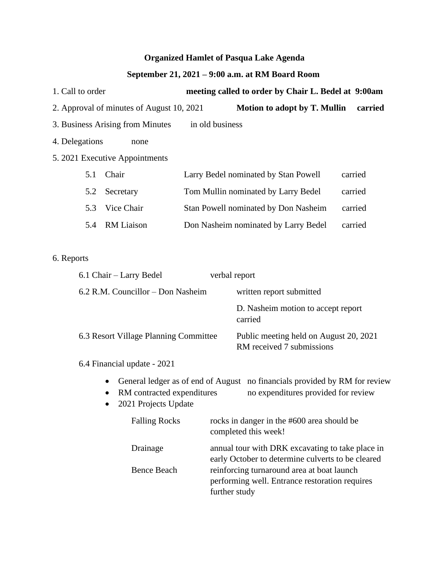## **Organized Hamlet of Pasqua Lake Agenda**

## **September 21, 2021 – 9:00 a.m. at RM Board Room**

| 1. Call to order               |                                           | meeting called to order by Chair L. Bedel at 9:00am |                                      |         |  |
|--------------------------------|-------------------------------------------|-----------------------------------------------------|--------------------------------------|---------|--|
|                                | 2. Approval of minutes of August 10, 2021 |                                                     | <b>Motion to adopt by T. Mullin</b>  | carried |  |
|                                | 3. Business Arising from Minutes          | in old business                                     |                                      |         |  |
| 4. Delegations                 | none                                      |                                                     |                                      |         |  |
| 5. 2021 Executive Appointments |                                           |                                                     |                                      |         |  |
| 5.1                            | Chair                                     |                                                     | Larry Bedel nominated by Stan Powell | carried |  |
| 5.2                            | Secretary                                 |                                                     | Tom Mullin nominated by Larry Bedel  | carried |  |
| 5.3                            | Vice Chair                                |                                                     | Stan Powell nominated by Don Nasheim | carried |  |
| 5.4                            | <b>RM</b> Liaison                         |                                                     | Don Nasheim nominated by Larry Bedel | carried |  |

## 6. Reports

| 6.1 Chair – Larry Bedel                                                                                                                                                                                                                                                                                                                                                                                             | verbal report                                                                                                     |
|---------------------------------------------------------------------------------------------------------------------------------------------------------------------------------------------------------------------------------------------------------------------------------------------------------------------------------------------------------------------------------------------------------------------|-------------------------------------------------------------------------------------------------------------------|
| 6.2 R.M. Councillor – Don Nasheim                                                                                                                                                                                                                                                                                                                                                                                   | written report submitted                                                                                          |
|                                                                                                                                                                                                                                                                                                                                                                                                                     | D. Nasheim motion to accept report<br>carried                                                                     |
| 6.3 Resort Village Planning Committee                                                                                                                                                                                                                                                                                                                                                                               | Public meeting held on August 20, 2021<br>RM received 7 submissions                                               |
| 6.4 Financial update - 2021                                                                                                                                                                                                                                                                                                                                                                                         |                                                                                                                   |
| $\bullet$<br>RM contracted expenditures<br>$\bullet$<br>$\mathcal{A}$ $\mathcal{A}$ $\mathcal{A}$ $\mathcal{B}$ $\mathcal{B}$ $\mathcal{C}$ $\mathcal{A}$ $\mathcal{A}$ $\mathcal{B}$ $\mathcal{A}$ $\mathcal{B}$ $\mathcal{B}$ $\mathcal{C}$ $\mathcal{A}$ $\mathcal{B}$ $\mathcal{C}$ $\mathcal{A}$ $\mathcal{B}$ $\mathcal{C}$ $\mathcal{A}$ $\mathcal{B}$ $\mathcal{C}$ $\mathcal{A}$ $\mathcal{C}$ $\mathcal{$ | General ledger as of end of August no financials provided by RM for review<br>no expenditures provided for review |

• 2021 Projects Update

| <b>Falling Rocks</b> | rocks in danger in the #600 area should be<br>completed this week!                                            |
|----------------------|---------------------------------------------------------------------------------------------------------------|
| Drainage             | annual tour with DRK excavating to take place in<br>early October to determine culverts to be cleared         |
| <b>Bence Beach</b>   | reinforcing turnaround area at boat launch<br>performing well. Entrance restoration requires<br>further study |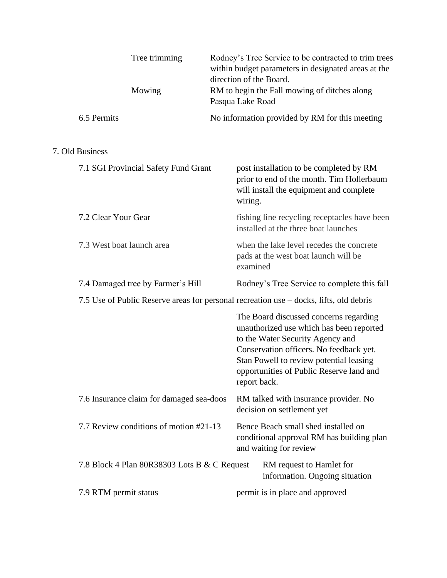| Tree trimming<br>Mowing                                                                |  |                  | Rodney's Tree Service to be contracted to trim trees<br>within budget parameters in designated areas at the<br>direction of the Board.<br>RM to begin the Fall mowing of ditches along                                                                   |
|----------------------------------------------------------------------------------------|--|------------------|----------------------------------------------------------------------------------------------------------------------------------------------------------------------------------------------------------------------------------------------------------|
| 6.5 Permits                                                                            |  | Pasqua Lake Road | No information provided by RM for this meeting                                                                                                                                                                                                           |
| 7. Old Business                                                                        |  |                  |                                                                                                                                                                                                                                                          |
| 7.1 SGI Provincial Safety Fund Grant                                                   |  | wiring.          | post installation to be completed by RM<br>prior to end of the month. Tim Hollerbaum<br>will install the equipment and complete                                                                                                                          |
| 7.2 Clear Your Gear                                                                    |  |                  | fishing line recycling receptacles have been<br>installed at the three boat launches                                                                                                                                                                     |
| 7.3 West boat launch area                                                              |  | examined         | when the lake level recedes the concrete<br>pads at the west boat launch will be                                                                                                                                                                         |
| 7.4 Damaged tree by Farmer's Hill                                                      |  |                  | Rodney's Tree Service to complete this fall                                                                                                                                                                                                              |
| 7.5 Use of Public Reserve areas for personal recreation use – docks, lifts, old debris |  |                  |                                                                                                                                                                                                                                                          |
|                                                                                        |  | report back.     | The Board discussed concerns regarding<br>unauthorized use which has been reported<br>to the Water Security Agency and<br>Conservation officers. No feedback yet.<br>Stan Powell to review potential leasing<br>opportunities of Public Reserve land and |
| 7.6 Insurance claim for damaged sea-doos                                               |  |                  | RM talked with insurance provider. No<br>decision on settlement yet                                                                                                                                                                                      |
| 7.7 Review conditions of motion #21-13                                                 |  |                  | Bence Beach small shed installed on<br>conditional approval RM has building plan<br>and waiting for review                                                                                                                                               |
| 7.8 Block 4 Plan 80R38303 Lots B & C Request                                           |  |                  | RM request to Hamlet for<br>information. Ongoing situation                                                                                                                                                                                               |
| 7.9 RTM permit status                                                                  |  |                  | permit is in place and approved                                                                                                                                                                                                                          |